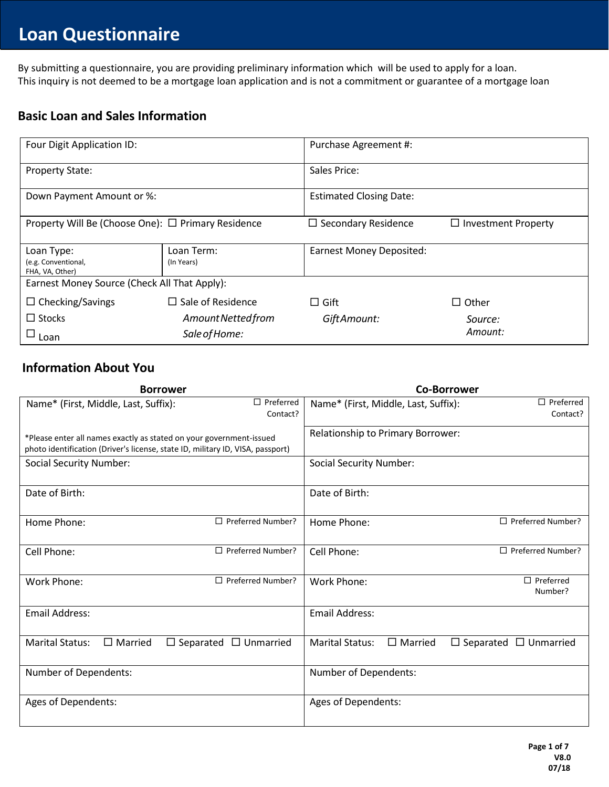# **Loan Questionnaire**

**Must on the stide of the stide of the stide of**<br>By submitting a questionnaire, you are providing preliminary information which will be used to apply for a loan. By submitting a questionnaire, you are providing preliminally information which will be used to apply for a loan.<br>This inquiry is not deemed to be a mortgage loan application and is not a commitment or guarantee of a mortg

## **Basic Loan and Sales Information**

| Four Digit Application ID:                           |                          | Purchase Agreement #:           |                            |
|------------------------------------------------------|--------------------------|---------------------------------|----------------------------|
| <b>Property State:</b>                               |                          | Sales Price:                    |                            |
| Down Payment Amount or %:                            |                          | <b>Estimated Closing Date:</b>  |                            |
| Property Will Be (Choose One): □ Primary Residence   |                          | $\Box$ Secondary Residence      | $\Box$ Investment Property |
| Loan Type:<br>(e.g. Conventional,<br>FHA, VA, Other) | Loan Term:<br>(In Years) | <b>Earnest Money Deposited:</b> |                            |
| Earnest Money Source (Check All That Apply):         |                          |                                 |                            |
| $\Box$ Checking/Savings                              | $\Box$ Sale of Residence | $\Box$ Gift                     | $\Box$ Other               |
| $\Box$ Stocks                                        | Amount Netted from       | Gift Amount:                    | Source:                    |
| $\square$ Loan                                       | Sale of Home:            |                                 | Amount:                    |

## **Information About You**

| <b>Borrower</b>                                                                                                                                       | <b>Co-Borrower</b>                                                            |
|-------------------------------------------------------------------------------------------------------------------------------------------------------|-------------------------------------------------------------------------------|
| $\Box$ Preferred<br>Name* (First, Middle, Last, Suffix):<br>Contact?                                                                                  | $\Box$ Preferred<br>Name* (First, Middle, Last, Suffix):<br>Contact?          |
| *Please enter all names exactly as stated on your government-issued<br>photo identification (Driver's license, state ID, military ID, VISA, passport) | Relationship to Primary Borrower:                                             |
| <b>Social Security Number:</b>                                                                                                                        | <b>Social Security Number:</b>                                                |
| Date of Birth:                                                                                                                                        | Date of Birth:                                                                |
| $\Box$ Preferred Number?<br>Home Phone:                                                                                                               | $\Box$ Preferred Number?<br>Home Phone:                                       |
| $\Box$ Preferred Number?<br>Cell Phone:                                                                                                               | $\Box$ Preferred Number?<br>Cell Phone:                                       |
| $\Box$ Preferred Number?<br><b>Work Phone:</b>                                                                                                        | $\Box$ Preferred<br>Work Phone:<br>Number?                                    |
| <b>Email Address:</b>                                                                                                                                 | <b>Email Address:</b>                                                         |
| <b>Marital Status:</b><br>$\Box$ Married<br>$\Box$ Separated $\Box$ Unmarried                                                                         | <b>Marital Status:</b><br>$\Box$ Married<br>$\Box$ Separated $\Box$ Unmarried |
| Number of Dependents:                                                                                                                                 | Number of Dependents:                                                         |
| Ages of Dependents:                                                                                                                                   | Ages of Dependents:                                                           |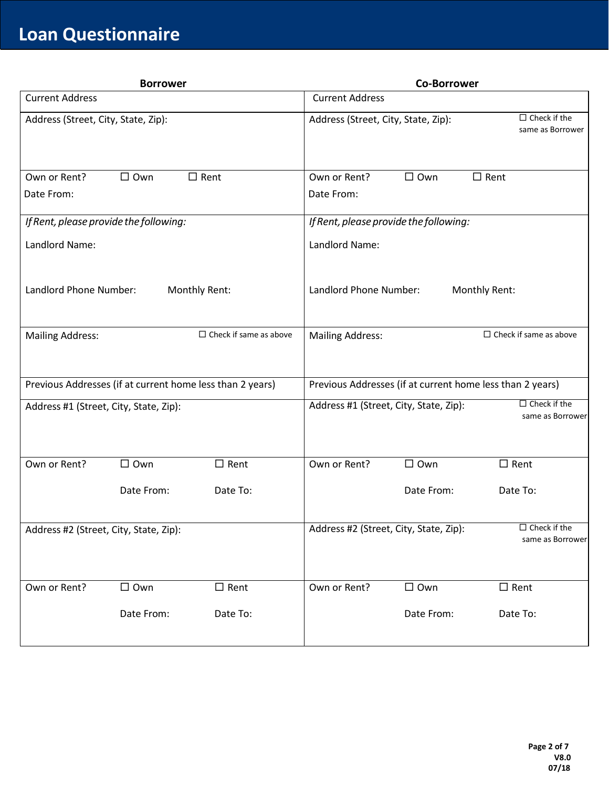**Questionnaireuestionnair**

| <b>Borrower</b>                                           | <b>Co-Borrower</b>                                                                |
|-----------------------------------------------------------|-----------------------------------------------------------------------------------|
| <b>Current Address</b>                                    | <b>Current Address</b>                                                            |
| Address (Street, City, State, Zip):                       | $\Box$ Check if the<br>Address (Street, City, State, Zip):<br>same as Borrower    |
| $\Box$ Own                                                | Own or Rent?                                                                      |
| $\Box$ Rent                                               | $\Box$ Own                                                                        |
| Own or Rent?                                              | $\square$ Rent                                                                    |
| Date From:                                                | Date From:                                                                        |
| If Rent, please provide the following:                    | If Rent, please provide the following:                                            |
| Landlord Name:                                            | Landlord Name:                                                                    |
| Landlord Phone Number:                                    | Landlord Phone Number:                                                            |
| Monthly Rent:                                             | Monthly Rent:                                                                     |
| $\Box$ Check if same as above                             | $\Box$ Check if same as above                                                     |
| <b>Mailing Address:</b>                                   | <b>Mailing Address:</b>                                                           |
| Previous Addresses (if at current home less than 2 years) | Previous Addresses (if at current home less than 2 years)                         |
| Address #1 (Street, City, State, Zip):                    | $\Box$ Check if the<br>Address #1 (Street, City, State, Zip):<br>same as Borrower |
| Own or Rent?                                              | Own or Rent?                                                                      |
| $\Box$ Own                                                | $\Box$ Own                                                                        |
| $\Box$ Rent                                               | $\Box$ Rent                                                                       |
| Date From:                                                | Date To:                                                                          |
| Date To:                                                  | Date From:                                                                        |
| Address #2 (Street, City, State, Zip):                    | $\Box$ Check if the<br>Address #2 (Street, City, State, Zip):<br>same as Borrower |
| Own or Rent?                                              | Own or Rent?                                                                      |
| $\square$ Rent                                            | $\Box$ Rent                                                                       |
| $\Box$ Own                                                | $\Box$ Own                                                                        |
| Date From:                                                | Date From:                                                                        |
| Date To:                                                  | Date To:                                                                          |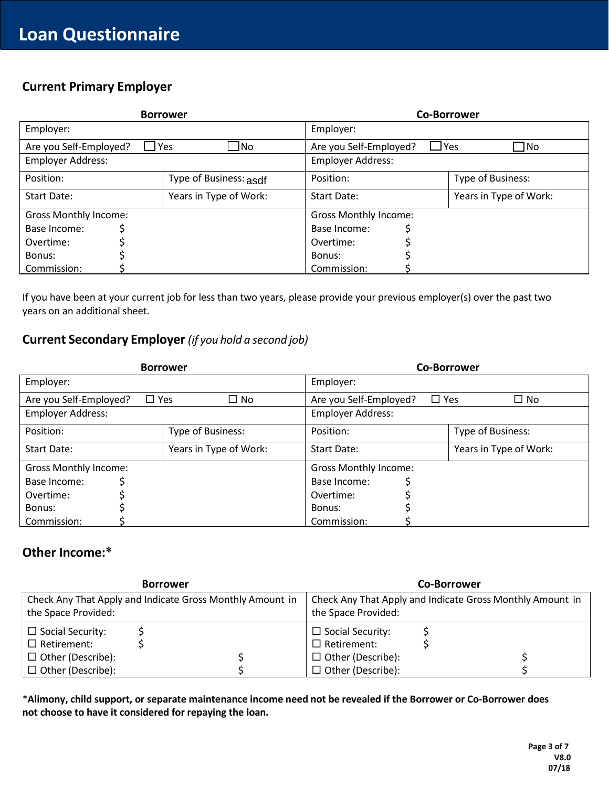**Questionnaireuestionnair**

### **Current Primary Employer Current Primary Employer**

|                              | <b>Borrower</b>         |                                      | <b>Co-Borrower</b>     |  |  |
|------------------------------|-------------------------|--------------------------------------|------------------------|--|--|
| Employer:                    |                         | Employer:                            |                        |  |  |
| Are you Self-Employed?       | $\Box$ Yes<br>$\Box$ No | $\Box$ Yes<br>Are you Self-Employed? | $\Box$ No              |  |  |
| <b>Employer Address:</b>     |                         | <b>Employer Address:</b>             |                        |  |  |
| Position:                    | Type of Business: asdf  | Position:                            | Type of Business:      |  |  |
| Start Date:                  | Years in Type of Work:  | Start Date:                          | Years in Type of Work: |  |  |
| <b>Gross Monthly Income:</b> |                         | <b>Gross Monthly Income:</b>         |                        |  |  |
| Base Income:                 |                         | Base Income:                         |                        |  |  |
| Overtime:                    |                         | Overtime:                            |                        |  |  |
| Bonus:                       |                         | Bonus:                               |                        |  |  |
| Commission:                  |                         | Commission:                          |                        |  |  |

If you have been at your current job for less than two years, please provide your previous employer(s) over the past two years on an additional sheet.

### **Current Secondary Employer** *(if you hold a second job)*

| <b>Borrower</b>                      |                        | <b>Co-Borrower</b>           |                            |  |
|--------------------------------------|------------------------|------------------------------|----------------------------|--|
| Employer:                            |                        | Employer:                    |                            |  |
| Are you Self-Employed?<br>$\Box$ Yes | $\Box$ No              | Are you Self-Employed?       | $\square$ No<br>$\Box$ Yes |  |
| Employer Address:                    |                        | <b>Employer Address:</b>     |                            |  |
| Position:                            | Type of Business:      | Position:                    | Type of Business:          |  |
| Start Date:                          | Years in Type of Work: | Start Date:                  | Years in Type of Work:     |  |
| <b>Gross Monthly Income:</b>         |                        | <b>Gross Monthly Income:</b> |                            |  |
| Base Income:                         |                        | Base Income:                 |                            |  |
| Overtime:                            |                        | Overtime:                    |                            |  |
| Bonus:                               |                        | Bonus:                       |                            |  |
| Commission:                          |                        | Commission:                  |                            |  |

### **Other Income:\***

| <b>Borrower</b>                                                                  |  | <b>Co-Borrower</b>                                                               |                          |  |  |
|----------------------------------------------------------------------------------|--|----------------------------------------------------------------------------------|--------------------------|--|--|
| Check Any That Apply and Indicate Gross Monthly Amount in<br>the Space Provided: |  | Check Any That Apply and Indicate Gross Monthly Amount in<br>the Space Provided: |                          |  |  |
| $\Box$ Social Security:                                                          |  |                                                                                  | $\Box$ Social Security:  |  |  |
| $\Box$ Retirement:                                                               |  |                                                                                  | $\Box$ Retirement:       |  |  |
| $\Box$ Other (Describe):                                                         |  |                                                                                  | $\Box$ Other (Describe): |  |  |
| $\Box$ Other (Describe):                                                         |  |                                                                                  | $\Box$ Other (Describe): |  |  |

\***Alimony, child support, or separate maintenance income need not be revealed if the Borrower or Co-Borrower does not choose to have it considered for repaying the loan.**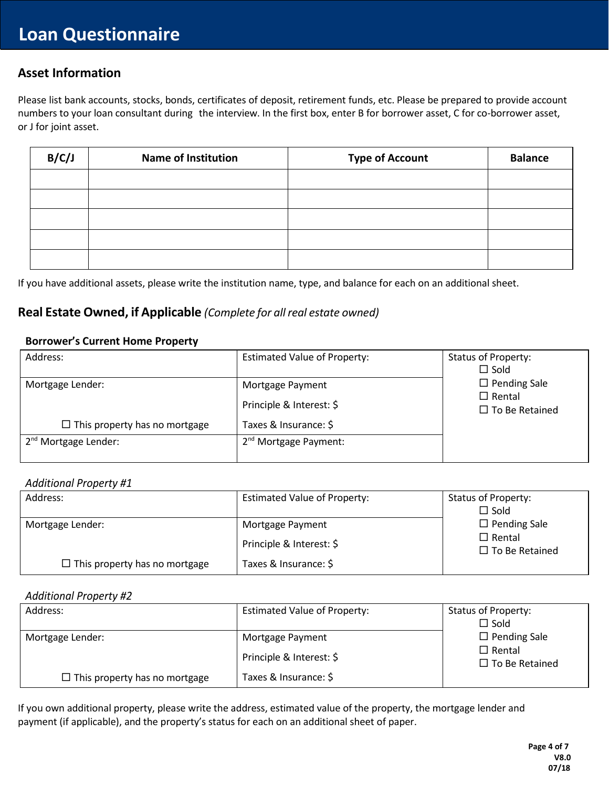# **Questionnaireuestionnair Asset Information**

Please list bank accounts, stocks, bonds, certificates of deposit, retirement funds, etc. Please be prepared to provide account numbers to your loan consultant during the interview. In the first box, enter B for borrower asset, C for co-borrower asset, or J for joint asset.

| B/C/J | <b>Name of Institution</b> | <b>Type of Account</b> | <b>Balance</b> |
|-------|----------------------------|------------------------|----------------|
|       |                            |                        |                |
|       |                            |                        |                |
|       |                            |                        |                |
|       |                            |                        |                |
|       |                            |                        |                |

If you have additional assets, please write the institution name, type, and balance for each on an additional sheet.

### **Real Estate Owned, if Applicable** *(Complete for all real estate owned)*

#### **Borrower's Current Home Property**

| Address:                             | <b>Estimated Value of Property:</b> | <b>Status of Property:</b>             |
|--------------------------------------|-------------------------------------|----------------------------------------|
|                                      |                                     | $\Box$ Sold                            |
| Mortgage Lender:                     | Mortgage Payment                    | $\Box$ Pending Sale                    |
|                                      | Principle & Interest: \$            | $\Box$ Rental<br>$\Box$ To Be Retained |
| $\Box$ This property has no mortgage | Taxes & Insurance: \$               |                                        |
| 2 <sup>nd</sup> Mortgage Lender:     | $2nd$ Mortgage Payment:             |                                        |
|                                      |                                     |                                        |

#### *Additional Property #1*

| Address:                             | <b>Estimated Value of Property:</b> | <b>Status of Property:</b>             |
|--------------------------------------|-------------------------------------|----------------------------------------|
|                                      |                                     | $\Box$ Sold                            |
| Mortgage Lender:                     | Mortgage Payment                    | $\Box$ Pending Sale                    |
|                                      | Principle & Interest: \$            | $\Box$ Rental<br>$\Box$ To Be Retained |
| $\Box$ This property has no mortgage | Taxes & Insurance: \$               |                                        |

#### *Additional Property #2*

| Address:                             | <b>Estimated Value of Property:</b> | <b>Status of Property:</b>             |
|--------------------------------------|-------------------------------------|----------------------------------------|
|                                      |                                     | $\Box$ Sold                            |
| Mortgage Lender:                     | Mortgage Payment                    | $\Box$ Pending Sale                    |
|                                      | Principle & Interest: \$            | $\Box$ Rental<br>$\Box$ To Be Retained |
| $\Box$ This property has no mortgage | Taxes & Insurance: \$               |                                        |

If you own additional property, please write the address, estimated value of the property, the mortgage lender and payment (if applicable), and the property's status for each on an additional sheet of paper.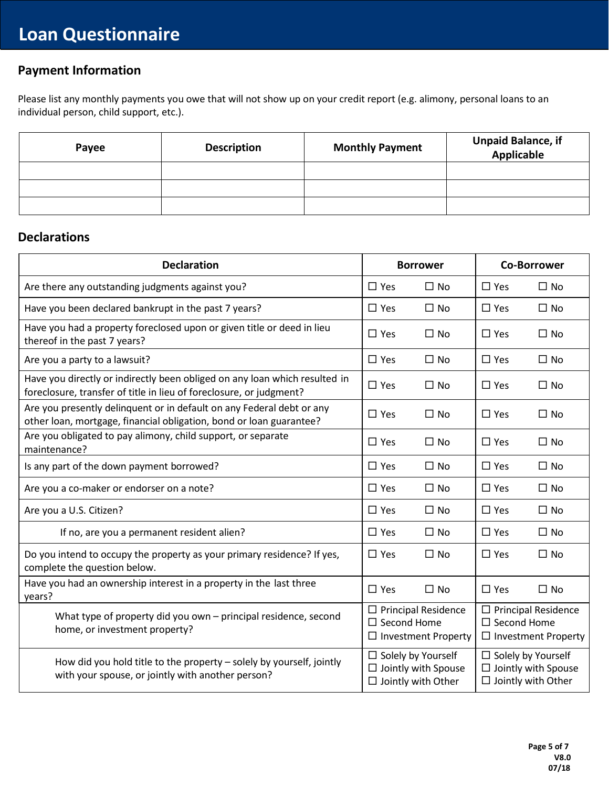# **Questionnaireuestionnair Payment Information**

Please list any monthly payments you owe that will not show up on your credit report (e.g. alimony, personal loans to an<br>. individual person, child support, etc.).

| Payee | <b>Description</b> | <b>Monthly Payment</b> | <b>Unpaid Balance, if</b><br>.<br>Applicable |
|-------|--------------------|------------------------|----------------------------------------------|
|       |                    |                        |                                              |
|       |                    |                        |                                              |
|       |                    |                        |                                              |

### **Declarations**

| <b>Declaration</b>                                                                                                                                |                                                        | <b>Borrower</b>                                          |                                                                                   | <b>Co-Borrower</b>         |
|---------------------------------------------------------------------------------------------------------------------------------------------------|--------------------------------------------------------|----------------------------------------------------------|-----------------------------------------------------------------------------------|----------------------------|
| Are there any outstanding judgments against you?                                                                                                  | $\Box$ Yes                                             | $\Box$ No                                                | $\Box$ Yes                                                                        | $\Box$ No                  |
| Have you been declared bankrupt in the past 7 years?                                                                                              | $\Box$ Yes                                             | $\Box$ No                                                | $\Box$ Yes                                                                        | $\Box$ No                  |
| Have you had a property foreclosed upon or given title or deed in lieu<br>thereof in the past 7 years?                                            | $\square$ Yes                                          | $\Box$ No                                                | $\square$ Yes                                                                     | $\Box$ No                  |
| Are you a party to a lawsuit?                                                                                                                     | $\Box$ Yes                                             | $\Box$ No                                                | $\Box$ Yes                                                                        | $\Box$ No                  |
| Have you directly or indirectly been obliged on any loan which resulted in<br>foreclosure, transfer of title in lieu of foreclosure, or judgment? | $\Box$ Yes                                             | $\Box$ No                                                | $\square$ Yes                                                                     | $\square$ No               |
| Are you presently delinquent or in default on any Federal debt or any<br>other loan, mortgage, financial obligation, bond or loan guarantee?      | $\Box$ Yes                                             | $\Box$ No                                                | $\Box$ Yes                                                                        | $\Box$ No                  |
| Are you obligated to pay alimony, child support, or separate<br>maintenance?                                                                      | $\Box$ Yes                                             | $\Box$ No                                                | $\Box$ Yes                                                                        | $\Box$ No                  |
| Is any part of the down payment borrowed?                                                                                                         | $\Box$ Yes                                             | $\Box$ No                                                | $\Box$ Yes                                                                        | $\Box$ No                  |
| Are you a co-maker or endorser on a note?                                                                                                         | $\Box$ Yes                                             | $\Box$ No                                                | $\Box$ Yes                                                                        | $\Box$ No                  |
| Are you a U.S. Citizen?                                                                                                                           | $\square$ Yes                                          | $\Box$ No                                                | $\Box$ Yes                                                                        | $\Box$ No                  |
| If no, are you a permanent resident alien?                                                                                                        | $\Box$ Yes                                             | $\Box$ No                                                | $\square$ Yes                                                                     | $\square$ No               |
| Do you intend to occupy the property as your primary residence? If yes,<br>complete the question below.                                           | $\Box$ Yes                                             | $\Box$ No                                                | $\square$ Yes                                                                     | $\Box$ No                  |
| Have you had an ownership interest in a property in the last three<br>years?                                                                      | $\square$ Yes                                          | $\square$ No                                             | $\square$ Yes                                                                     | $\Box$ No                  |
| What type of property did you own $-$ principal residence, second<br>home, or investment property?                                                | $\square$ Second Home                                  | $\Box$ Principal Residence<br>$\Box$ Investment Property | $\Box$ Principal Residence<br>$\square$ Second Home<br>$\Box$ Investment Property |                            |
| How did you hold title to the property - solely by yourself, jointly<br>with your spouse, or jointly with another person?                         | $\Box$ Solely by Yourself<br>$\Box$ Jointly with Other | $\Box$ Jointly with Spouse                               | $\Box$ Solely by Yourself<br>$\Box$ Jointly with Other                            | $\Box$ Jointly with Spouse |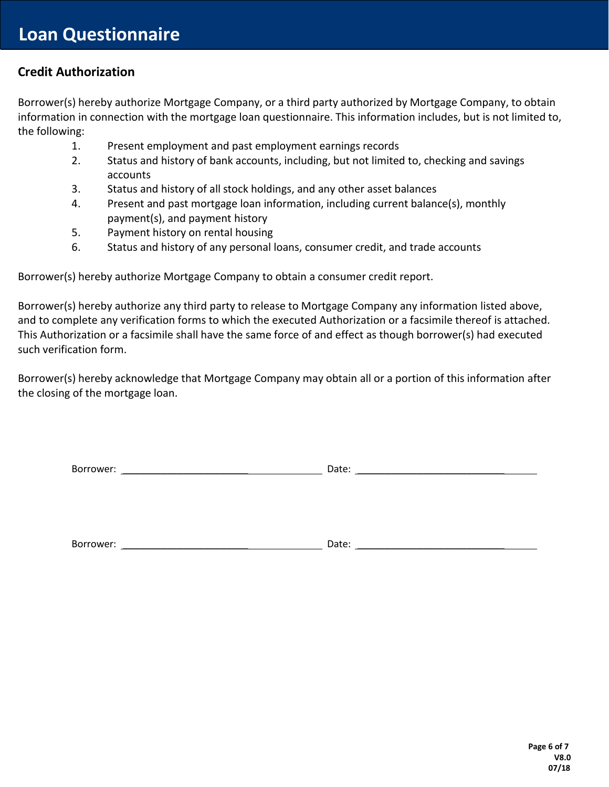# **Questionnaireuestionnair Credit Authorization**

**aire** Borrower(s) hereby authorize Mortgage Company, or a third party authorized by Mortgage Company, to obtain information in connection with the mortgage loan questionnaire. This information includes, but is not limited to, the following:

- 1. Present employment and past employment earnings records
- 2. Status and history of bank accounts, including, but not limited to, checking and savings accounts
- 3. Status and history of all stock holdings, and any other asset balances
- 4. Present and past mortgage loan information, including current balance(s), monthly payment(s), and payment history
- 5. Payment history on rental housing
- 6. Status and history of any personal loans, consumer credit, and trade accounts

Borrower(s) hereby authorize Mortgage Company to obtain a consumer credit report.

Borrower(s) hereby authorize any third party to release to Mortgage Company any information listed above, and to complete any verification forms to which the executed Authorization or a facsimile thereof is attached. This Authorization or a facsimile shall have the same force of and effect as though borrower(s) had executed such verification form.

Borrower(s) hereby acknowledge that Mortgage Company may obtain all or a portion of this information after the closing of the mortgage loan.

Borrower: \_\_\_\_\_\_\_\_\_\_\_\_\_\_\_\_\_\_\_\_\_\_\_ Date: \_\_\_\_\_\_\_\_\_\_\_\_\_\_\_\_\_\_\_\_\_\_\_\_\_\_\_

Borrower: \_\_\_\_\_\_\_\_\_\_\_\_\_\_\_\_\_\_\_\_\_\_\_ Date: \_\_\_\_\_\_\_\_\_\_\_\_\_\_\_\_\_\_\_\_\_\_\_\_\_\_\_